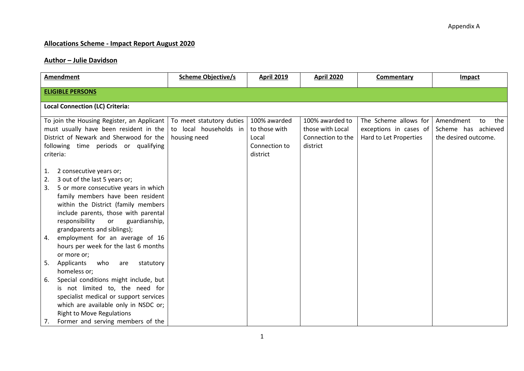## **Allocations Scheme - Impact Report August 2020**

## **Author – Julie Davidson**

| <b>Amendment</b>                                                                                                                                                                                                                                                                                               | <b>Scheme Objective/s</b>                                          | <b>April 2019</b>                                                   | <b>April 2020</b>                                                    | Commentary                                                                | Impact                                                                |  |  |
|----------------------------------------------------------------------------------------------------------------------------------------------------------------------------------------------------------------------------------------------------------------------------------------------------------------|--------------------------------------------------------------------|---------------------------------------------------------------------|----------------------------------------------------------------------|---------------------------------------------------------------------------|-----------------------------------------------------------------------|--|--|
| <b>ELIGIBLE PERSONS</b>                                                                                                                                                                                                                                                                                        |                                                                    |                                                                     |                                                                      |                                                                           |                                                                       |  |  |
| <b>Local Connection (LC) Criteria:</b>                                                                                                                                                                                                                                                                         |                                                                    |                                                                     |                                                                      |                                                                           |                                                                       |  |  |
| To join the Housing Register, an Applicant<br>must usually have been resident in the<br>District of Newark and Sherwood for the<br>following time periods or qualifying<br>criteria:                                                                                                                           | To meet statutory duties<br>to local households in<br>housing need | 100% awarded<br>to those with<br>Local<br>Connection to<br>district | 100% awarded to<br>those with Local<br>Connection to the<br>district | The Scheme allows for<br>exceptions in cases of<br>Hard to Let Properties | the<br>Amendment<br>to<br>Scheme has achieved<br>the desired outcome. |  |  |
| 2 consecutive years or;<br>1.<br>3 out of the last 5 years or;<br>2.<br>5 or more consecutive years in which<br>3.<br>family members have been resident<br>within the District (family members<br>include parents, those with parental<br>responsibility<br>or<br>guardianship,<br>grandparents and siblings); |                                                                    |                                                                     |                                                                      |                                                                           |                                                                       |  |  |
| employment for an average of 16<br>4.<br>hours per week for the last 6 months<br>or more or;                                                                                                                                                                                                                   |                                                                    |                                                                     |                                                                      |                                                                           |                                                                       |  |  |
| Applicants<br>who<br>statutory<br>5.<br>are<br>homeless or;                                                                                                                                                                                                                                                    |                                                                    |                                                                     |                                                                      |                                                                           |                                                                       |  |  |
| Special conditions might include, but<br>6.<br>is not limited to, the need for<br>specialist medical or support services<br>which are available only in NSDC or;<br><b>Right to Move Regulations</b><br>Former and serving members of the<br>7.                                                                |                                                                    |                                                                     |                                                                      |                                                                           |                                                                       |  |  |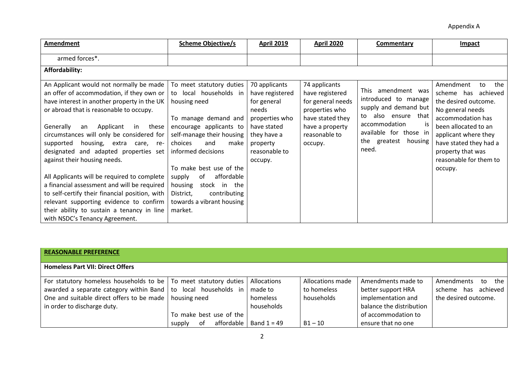| <b>Amendment</b>                                                                                                                                                                                                                                                                                                                                                                                                                                                                                                                                                                                                                                                        | <b>Scheme Objective/s</b>                                                                                                                                                                                                                                                                                                                                   | <b>April 2019</b>                                                                                                                                | <b>April 2020</b>                                                                                                                          | <b>Commentary</b>                                                                                                                                                                  | <b>Impact</b>                                                                                                                                                                                                                                         |  |  |
|-------------------------------------------------------------------------------------------------------------------------------------------------------------------------------------------------------------------------------------------------------------------------------------------------------------------------------------------------------------------------------------------------------------------------------------------------------------------------------------------------------------------------------------------------------------------------------------------------------------------------------------------------------------------------|-------------------------------------------------------------------------------------------------------------------------------------------------------------------------------------------------------------------------------------------------------------------------------------------------------------------------------------------------------------|--------------------------------------------------------------------------------------------------------------------------------------------------|--------------------------------------------------------------------------------------------------------------------------------------------|------------------------------------------------------------------------------------------------------------------------------------------------------------------------------------|-------------------------------------------------------------------------------------------------------------------------------------------------------------------------------------------------------------------------------------------------------|--|--|
| armed forces*.                                                                                                                                                                                                                                                                                                                                                                                                                                                                                                                                                                                                                                                          |                                                                                                                                                                                                                                                                                                                                                             |                                                                                                                                                  |                                                                                                                                            |                                                                                                                                                                                    |                                                                                                                                                                                                                                                       |  |  |
| Affordability:                                                                                                                                                                                                                                                                                                                                                                                                                                                                                                                                                                                                                                                          |                                                                                                                                                                                                                                                                                                                                                             |                                                                                                                                                  |                                                                                                                                            |                                                                                                                                                                                    |                                                                                                                                                                                                                                                       |  |  |
| An Applicant would not normally be made<br>an offer of accommodation, if they own or<br>have interest in another property in the UK<br>or abroad that is reasonable to occupy.<br>Generally<br>Applicant<br>these<br>in<br>an<br>circumstances will only be considered for<br>housing, extra care, re-<br>supported<br>designated and adapted properties set<br>against their housing needs.<br>All Applicants will be required to complete<br>a financial assessment and will be required<br>to self-certify their financial position, with<br>relevant supporting evidence to confirm<br>their ability to sustain a tenancy in line<br>with NSDC's Tenancy Agreement. | To meet statutory duties<br>to local households in<br>housing need<br>To manage demand and<br>encourage applicants to<br>self-manage their housing<br>choices<br>and<br>make<br>informed decisions<br>To make best use of the<br>affordable<br>οf<br>supply<br>housing<br>stock in the<br>contributing<br>District,<br>towards a vibrant housing<br>market. | 70 applicants<br>have registered<br>for general<br>needs<br>properties who<br>have stated<br>they have a<br>property<br>reasonable to<br>occupy. | 74 applicants<br>have registered<br>for general needs<br>properties who<br>have stated they<br>have a property<br>reasonable to<br>occupy. | This amendment was<br>introduced to manage<br>supply and demand but<br>also ensure that<br>to<br>accommodation<br>1S<br>available for those in<br>the greatest<br>housing<br>need. | the<br>Amendment<br>to<br>scheme has<br>achieved<br>the desired outcome.<br>No general needs<br>accommodation has<br>been allocated to an<br>applicant where they<br>have stated they had a<br>property that was<br>reasonable for them to<br>occupy. |  |  |

| <b>REASONABLE PREFERENCE</b>                                       |                              |               |                  |                          |                           |
|--------------------------------------------------------------------|------------------------------|---------------|------------------|--------------------------|---------------------------|
| <b>Homeless Part VII: Direct Offers</b>                            |                              |               |                  |                          |                           |
| For statutory homeless households to be   To meet statutory duties |                              | Allocations   | Allocations made | Amendments made to       | the I<br>Amendments to    |
| awarded a separate category within Band   to local households in   |                              | made to       | to homeless      | better support HRA       | achieved<br>scheme<br>has |
| One and suitable direct offers to be made   housing need           |                              | homeless      | households       | implementation and       | the desired outcome.      |
| in order to discharge duty.                                        |                              | households    |                  | balance the distribution |                           |
|                                                                    | To make best use of the      |               |                  | of accommodation to      |                           |
|                                                                    | affordable  <br>of<br>supply | Band $1 = 49$ | $B1 - 10$        | ensure that no one       |                           |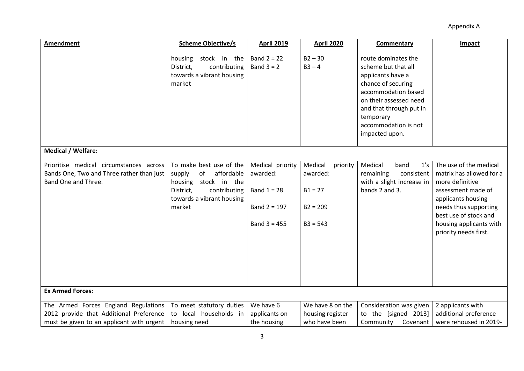| <b>Amendment</b>                                                                                                             | <b>Scheme Objective/s</b>                                                                                                                            | <b>April 2019</b>                                                                 | <b>April 2020</b>                                                        | Commentary                                                                                                                                                                                                               | Impact                                                                                                                                                                                                                  |
|------------------------------------------------------------------------------------------------------------------------------|------------------------------------------------------------------------------------------------------------------------------------------------------|-----------------------------------------------------------------------------------|--------------------------------------------------------------------------|--------------------------------------------------------------------------------------------------------------------------------------------------------------------------------------------------------------------------|-------------------------------------------------------------------------------------------------------------------------------------------------------------------------------------------------------------------------|
|                                                                                                                              | housing<br>stock in the<br>District,<br>contributing<br>towards a vibrant housing<br>market                                                          | Band $2 = 22$<br>Band $3 = 2$                                                     | $B2 - 30$<br>$B3 - 4$                                                    | route dominates the<br>scheme but that all<br>applicants have a<br>chance of securing<br>accommodation based<br>on their assessed need<br>and that through put in<br>temporary<br>accommodation is not<br>impacted upon. |                                                                                                                                                                                                                         |
| Medical / Welfare:                                                                                                           |                                                                                                                                                      |                                                                                   |                                                                          |                                                                                                                                                                                                                          |                                                                                                                                                                                                                         |
| Prioritise medical circumstances across<br>Bands One, Two and Three rather than just<br>Band One and Three.                  | To make best use of the<br>affordable<br>supply<br>of<br>housing<br>stock in the<br>District,<br>contributing<br>towards a vibrant housing<br>market | Medical priority<br>awarded:<br>Band $1 = 28$<br>Band $2 = 197$<br>Band $3 = 455$ | Medical<br>priority<br>awarded:<br>$B1 = 27$<br>$B2 = 209$<br>$B3 = 543$ | Medical<br>1's<br>band<br>remaining<br>consistent<br>with a slight increase in<br>bands 2 and 3.                                                                                                                         | The use of the medical<br>matrix has allowed for a<br>more definitive<br>assessment made of<br>applicants housing<br>needs thus supporting<br>best use of stock and<br>housing applicants with<br>priority needs first. |
| <b>Ex Armed Forces:</b>                                                                                                      |                                                                                                                                                      |                                                                                   |                                                                          |                                                                                                                                                                                                                          |                                                                                                                                                                                                                         |
| The Armed Forces England Regulations<br>2012 provide that Additional Preference<br>must be given to an applicant with urgent | To meet statutory duties<br>local households in<br>to<br>housing need                                                                                | We have 6<br>applicants on<br>the housing                                         | We have 8 on the<br>housing register<br>who have been                    | Consideration was given<br>[signed 2013]<br>to the<br>Community<br>Covenant                                                                                                                                              | 2 applicants with<br>additional preference<br>were rehoused in 2019-                                                                                                                                                    |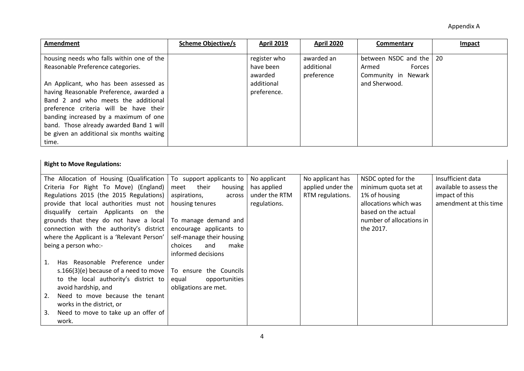| Amendment                                 | <b>Scheme Objective/s</b> | <b>April 2019</b>    | <b>April 2020</b>        | Commentary                             | <b>Impact</b> |
|-------------------------------------------|---------------------------|----------------------|--------------------------|----------------------------------------|---------------|
| housing needs who falls within one of the |                           | register who         | awarded an               | between NSDC and the   20              |               |
| Reasonable Preference categories.         |                           | have been<br>awarded | additional<br>preference | Forces<br>Armed<br>Community in Newark |               |
| An Applicant, who has been assessed as    |                           | additional           |                          | and Sherwood.                          |               |
| having Reasonable Preference, awarded a   |                           | preference.          |                          |                                        |               |
| Band 2 and who meets the additional       |                           |                      |                          |                                        |               |
| preference criteria will be have their    |                           |                      |                          |                                        |               |
| banding increased by a maximum of one     |                           |                      |                          |                                        |               |
| band. Those already awarded Band 1 will   |                           |                      |                          |                                        |               |
| be given an additional six months waiting |                           |                      |                          |                                        |               |
| time.                                     |                           |                      |                          |                                        |               |

## **Right to Move Regulations:**

| The Allocation of Housing (Qualification $\vert$ To support applicants to |                           | No applicant  | No applicant has  | NSDC opted for the       | Insufficient data       |
|---------------------------------------------------------------------------|---------------------------|---------------|-------------------|--------------------------|-------------------------|
| Criteria For Right To Move) (England)                                     | meet their<br>housing     | has applied   | applied under the | minimum quota set at     | available to assess the |
| Regulations 2015 (the 2015 Regulations)                                   | aspirations,<br>across    | under the RTM | RTM regulations.  | 1% of housing            | impact of this          |
| provide that local authorities must not                                   | housing tenures           | regulations.  |                   | allocations which was    | amendment at this time  |
| disqualify certain Applicants on the                                      |                           |               |                   | based on the actual      |                         |
| grounds that they do not have a local   To manage demand and              |                           |               |                   | number of allocations in |                         |
| connection with the authority's district                                  | encourage applicants to   |               |                   | the 2017.                |                         |
| where the Applicant is a 'Relevant Person'                                | self-manage their housing |               |                   |                          |                         |
| being a person who:-                                                      | choices<br>and<br>make    |               |                   |                          |                         |
|                                                                           | informed decisions        |               |                   |                          |                         |
| Has Reasonable Preference under<br>1.                                     |                           |               |                   |                          |                         |
| s.166(3)(e) because of a need to move $ $                                 | To ensure the Councils    |               |                   |                          |                         |
| to the local authority's district to                                      | opportunities<br>equal    |               |                   |                          |                         |
| avoid hardship, and                                                       | obligations are met.      |               |                   |                          |                         |
| Need to move because the tenant<br>2.                                     |                           |               |                   |                          |                         |
| works in the district, or                                                 |                           |               |                   |                          |                         |
| Need to move to take up an offer of<br>3.                                 |                           |               |                   |                          |                         |
| work.                                                                     |                           |               |                   |                          |                         |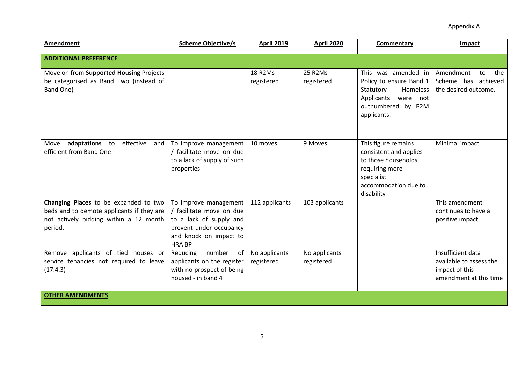| <b>Amendment</b>                                                                                                                        | <b>Scheme Objective/s</b>                                                                                                                         | <b>April 2019</b>            | <b>April 2020</b>           | Commentary                                                                                                                                 | Impact                                                                                   |  |  |
|-----------------------------------------------------------------------------------------------------------------------------------------|---------------------------------------------------------------------------------------------------------------------------------------------------|------------------------------|-----------------------------|--------------------------------------------------------------------------------------------------------------------------------------------|------------------------------------------------------------------------------------------|--|--|
| <b>ADDITIONAL PREFERENCE</b>                                                                                                            |                                                                                                                                                   |                              |                             |                                                                                                                                            |                                                                                          |  |  |
| Move on from Supported Housing Projects<br>be categorised as Band Two (instead of<br>Band One)                                          |                                                                                                                                                   | <b>18 R2Ms</b><br>registered | 25 R2Ms<br>registered       | This was amended in<br>Policy to ensure Band 1<br>Homeless<br>Statutory<br>Applicants were not<br>outnumbered by R2M<br>applicants.        | Amendment<br>the<br>to<br>Scheme has achieved<br>the desired outcome.                    |  |  |
| adaptations<br>effective<br>to<br>Move<br>and<br>efficient from Band One                                                                | To improve management<br>facilitate move on due<br>to a lack of supply of such<br>properties                                                      | 10 moves                     | 9 Moves                     | This figure remains<br>consistent and applies<br>to those households<br>requiring more<br>specialist<br>accommodation due to<br>disability | Minimal impact                                                                           |  |  |
| Changing Places to be expanded to two<br>beds and to demote applicants if they are<br>not actively bidding within a 12 month<br>period. | To improve management<br>/ facilitate move on due<br>to a lack of supply and<br>prevent under occupancy<br>and knock on impact to<br><b>HRABP</b> | 112 applicants               | 103 applicants              |                                                                                                                                            | This amendment<br>continues to have a<br>positive impact.                                |  |  |
| Remove applicants of tied houses or<br>service tenancies not required to leave<br>(17.4.3)                                              | Reducing<br>number<br>of<br>applicants on the register<br>with no prospect of being<br>housed - in band 4                                         | No applicants<br>registered  | No applicants<br>registered |                                                                                                                                            | Insufficient data<br>available to assess the<br>impact of this<br>amendment at this time |  |  |
| <b>OTHER AMENDMENTS</b>                                                                                                                 |                                                                                                                                                   |                              |                             |                                                                                                                                            |                                                                                          |  |  |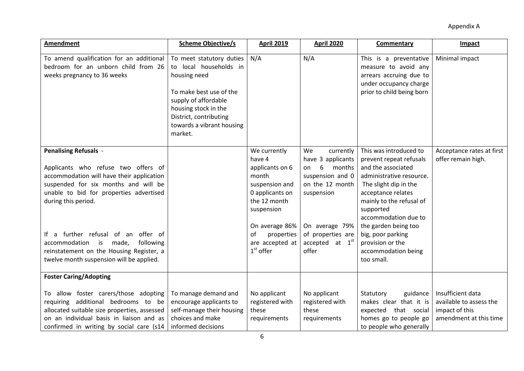| Amendment                                                                                                                                                                                                                                                                                                                                                                                              | <b>Scheme Objective/s</b>                                                                                                                                                                                       | <b>April 2019</b>                                                                                                                                                                             | <b>April 2020</b>                                                                                                                                                                   | <b>Commentary</b>                                                                                                                                                                                                                                                                                                         | Impact                                                                                   |
|--------------------------------------------------------------------------------------------------------------------------------------------------------------------------------------------------------------------------------------------------------------------------------------------------------------------------------------------------------------------------------------------------------|-----------------------------------------------------------------------------------------------------------------------------------------------------------------------------------------------------------------|-----------------------------------------------------------------------------------------------------------------------------------------------------------------------------------------------|-------------------------------------------------------------------------------------------------------------------------------------------------------------------------------------|---------------------------------------------------------------------------------------------------------------------------------------------------------------------------------------------------------------------------------------------------------------------------------------------------------------------------|------------------------------------------------------------------------------------------|
| To amend qualification for an additional<br>bedroom for an unborn child from 26<br>weeks pregnancy to 36 weeks                                                                                                                                                                                                                                                                                         | To meet statutory duties<br>to local households in<br>housing need<br>To make best use of the<br>supply of affordable<br>housing stock in the<br>District, contributing<br>towards a vibrant housing<br>market. | N/A                                                                                                                                                                                           | N/A                                                                                                                                                                                 | This is a preventative<br>measure to avoid any<br>arrears accruing due to<br>under occupancy charge<br>prior to child being born                                                                                                                                                                                          | Minimal impact                                                                           |
| <b>Penalising Refusals -</b><br>Applicants who refuse two offers of<br>accommodation will have their application<br>suspended for six months and will be<br>unable to bid for properties advertised<br>during this period.<br>If a further refusal of an offer of<br>accommodation<br>is<br>following<br>made,<br>reinstatement on the Housing Register, a<br>twelve month suspension will be applied. |                                                                                                                                                                                                                 | We currently<br>have 4<br>applicants on 6<br>month<br>suspension and<br>0 applicants on<br>the 12 month<br>suspension<br>On average 86%<br>properties<br>of<br>are accepted at<br>$1st$ offer | We<br>currently<br>have 3 applicants<br>6<br>months<br>on<br>suspension and 0<br>on the 12 month<br>suspension<br>On average 79%<br>of properties are<br>accepted at $1st$<br>offer | This was introduced to<br>prevent repeat refusals<br>and the associated<br>administrative resource.<br>The slight dip in the<br>acceptance relates<br>mainly to the refusal of<br>supported<br>accommodation due to<br>the garden being too<br>big, poor parking<br>provision or the<br>accommodation being<br>too small. | Acceptance rates at first<br>offer remain high.                                          |
| <b>Foster Caring/Adopting</b>                                                                                                                                                                                                                                                                                                                                                                          |                                                                                                                                                                                                                 |                                                                                                                                                                                               |                                                                                                                                                                                     |                                                                                                                                                                                                                                                                                                                           |                                                                                          |
| To allow foster carers/those adopting<br>requiring additional bedrooms to be<br>allocated suitable size properties, assessed<br>on an individual basis in liaison and as<br>confirmed in writing by social care (s14                                                                                                                                                                                   | To manage demand and<br>encourage applicants to<br>self-manage their housing<br>choices and make<br>informed decisions                                                                                          | No applicant<br>registered with<br>these<br>requirements                                                                                                                                      | No applicant<br>registered with<br>these<br>requirements                                                                                                                            | Statutory<br>guidance<br>makes clear that it is<br>expected that social<br>homes go to people go<br>to people who generally                                                                                                                                                                                               | Insufficient data<br>available to assess the<br>impact of this<br>amendment at this time |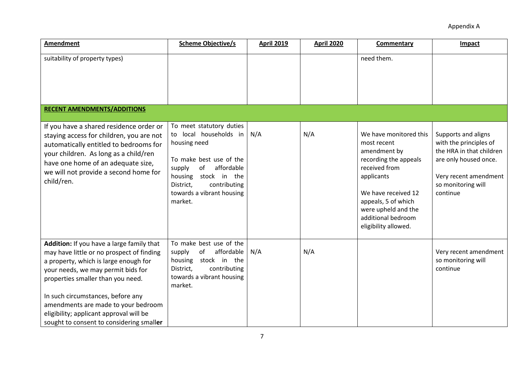| Amendment                                                                                                                                                                                                                                                                                                                                                                     | <b>Scheme Objective/s</b>                                                                                                                                                                                                   | <b>April 2019</b> | <b>April 2020</b> | Commentary                                                                                                                                                                                                                       | Impact                                                                                                                                                        |
|-------------------------------------------------------------------------------------------------------------------------------------------------------------------------------------------------------------------------------------------------------------------------------------------------------------------------------------------------------------------------------|-----------------------------------------------------------------------------------------------------------------------------------------------------------------------------------------------------------------------------|-------------------|-------------------|----------------------------------------------------------------------------------------------------------------------------------------------------------------------------------------------------------------------------------|---------------------------------------------------------------------------------------------------------------------------------------------------------------|
| suitability of property types)                                                                                                                                                                                                                                                                                                                                                |                                                                                                                                                                                                                             |                   |                   | need them.                                                                                                                                                                                                                       |                                                                                                                                                               |
| <b>RECENT AMENDMENTS/ADDITIONS</b>                                                                                                                                                                                                                                                                                                                                            |                                                                                                                                                                                                                             |                   |                   |                                                                                                                                                                                                                                  |                                                                                                                                                               |
| If you have a shared residence order or<br>staying access for children, you are not<br>automatically entitled to bedrooms for<br>your children. As long as a child/ren<br>have one home of an adequate size,<br>we will not provide a second home for<br>child/ren.                                                                                                           | To meet statutory duties<br>local households in<br>to<br>housing need<br>To make best use of the<br>affordable<br>of<br>supply<br>housing stock in the<br>contributing<br>District,<br>towards a vibrant housing<br>market. | N/A               | N/A               | We have monitored this<br>most recent<br>amendment by<br>recording the appeals<br>received from<br>applicants<br>We have received 12<br>appeals, 5 of which<br>were upheld and the<br>additional bedroom<br>eligibility allowed. | Supports and aligns<br>with the principles of<br>the HRA in that children<br>are only housed once.<br>Very recent amendment<br>so monitoring will<br>continue |
| Addition: If you have a large family that<br>may have little or no prospect of finding<br>a property, which is large enough for<br>your needs, we may permit bids for<br>properties smaller than you need.<br>In such circumstances, before any<br>amendments are made to your bedroom<br>eligibility; applicant approval will be<br>sought to consent to considering smaller | To make best use of the<br>affordable<br>of<br>supply<br>housing stock in the<br>contributing<br>District,<br>towards a vibrant housing<br>market.                                                                          | N/A               | N/A               |                                                                                                                                                                                                                                  | Very recent amendment<br>so monitoring will<br>continue                                                                                                       |